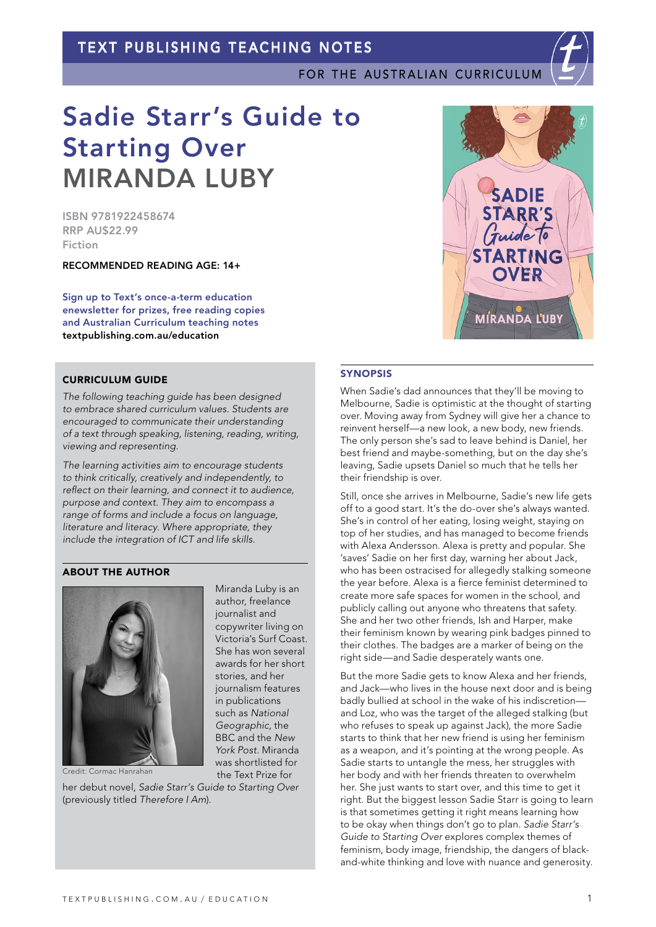# TEXT PUBLISHING TEACHING NOTES

FOR THE AUSTRALIAN CURRICULUM



ISBN 9781922458674 RRP AU\$22.99 Fiction

RECOMMENDED READING AGE: 14+

Sign up to Text's once-a-term education enewsletter for prizes, free reading copies and Australian Curriculum teaching notes [textpublishing.com.au/education](https://www.textpublishing.com.au/education)

# CURRICULUM GUIDE

*The following teaching guide has been designed to embrace shared curriculum values. Students are encouraged to communicate their understanding of a text through speaking, listening, reading, writing, viewing and representing.*

*The learning activities aim to encourage students to think critically, creatively and independently, to reflect on their learning, and connect it to audience, purpose and context. They aim to encompass a range of forms and include a focus on language, literature and literacy. Where appropriate, they include the integration of ICT and life skills.*

> Miranda Luby is an author, freelance journalist and copywriter living on Victoria's Surf Coast. She has won several awards for her short stories, and her journalism features in publications such as *National Geographic*, the BBC and the *New York Post*. Miranda was shortlisted for the Text Prize for

## ABOUT THE AUTHOR



Credit: Cormac Hanrahan

her debut novel, *Sadie Starr's Guide to Starting Over* (previously titled *Therefore I Am*).



# **SYNOPSIS**

When Sadie's dad announces that they'll be moving to Melbourne, Sadie is optimistic at the thought of starting over. Moving away from Sydney will give her a chance to reinvent herself—a new look, a new body, new friends. The only person she's sad to leave behind is Daniel, her best friend and maybe-something, but on the day she's leaving, Sadie upsets Daniel so much that he tells her their friendship is over.

Still, once she arrives in Melbourne, Sadie's new life gets off to a good start. It's the do-over she's always wanted. She's in control of her eating, losing weight, staying on top of her studies, and has managed to become friends with Alexa Andersson. Alexa is pretty and popular. She 'saves' Sadie on her first day, warning her about Jack, who has been ostracised for allegedly stalking someone the year before. Alexa is a fierce feminist determined to create more safe spaces for women in the school, and publicly calling out anyone who threatens that safety. She and her two other friends, Ish and Harper, make their feminism known by wearing pink badges pinned to their clothes. The badges are a marker of being on the right side—and Sadie desperately wants one.

But the more Sadie gets to know Alexa and her friends, and Jack—who lives in the house next door and is being badly bullied at school in the wake of his indiscretion and Loz, who was the target of the alleged stalking (but who refuses to speak up against Jack), the more Sadie starts to think that her new friend is using her feminism as a weapon, and it's pointing at the wrong people. As Sadie starts to untangle the mess, her struggles with her body and with her friends threaten to overwhelm her. She just wants to start over, and this time to get it right. But the biggest lesson Sadie Starr is going to learn is that sometimes getting it right means learning how to be okay when things don't go to plan. *Sadie Starr's Guide to Starting Over* explores complex themes of feminism, body image, friendship, the dangers of blackand-white thinking and love with nuance and generosity.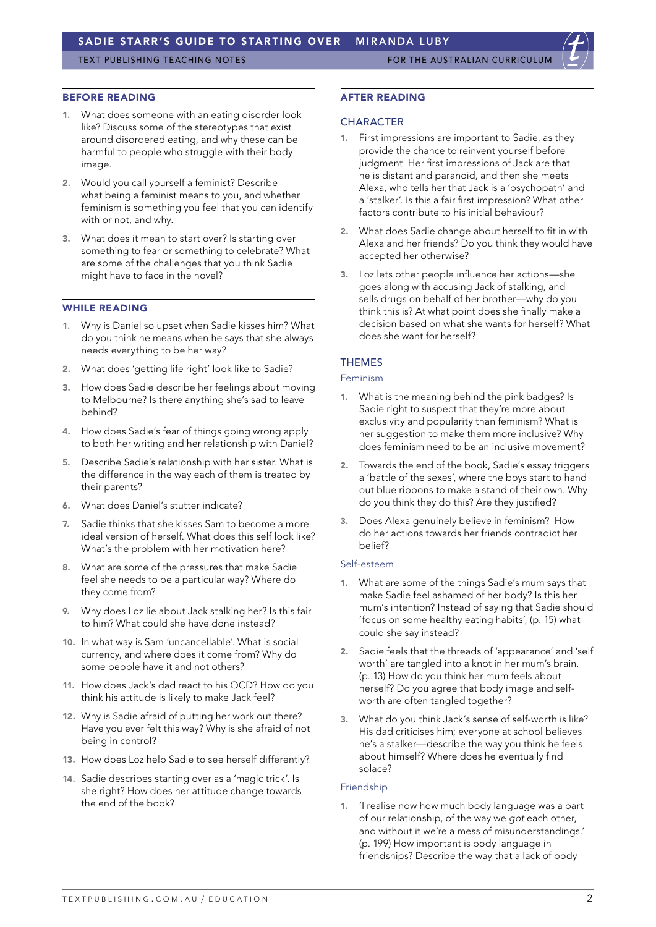TEXT PUBLISHING TEACHING NOTES FOR THE AUSTRALIAN CURRICULUI

#### BEFORE READING

- 1. What does someone with an eating disorder look like? Discuss some of the stereotypes that exist around disordered eating, and why these can be harmful to people who struggle with their body image.
- 2. Would you call yourself a feminist? Describe what being a feminist means to you, and whether feminism is something you feel that you can identify with or not, and why.
- 3. What does it mean to start over? Is starting over something to fear or something to celebrate? What are some of the challenges that you think Sadie might have to face in the novel?

# WHILE READING

- 1. Why is Daniel so upset when Sadie kisses him? What do you think he means when he says that she always needs everything to be her way?
- 2. What does 'getting life right' look like to Sadie?
- 3. How does Sadie describe her feelings about moving to Melbourne? Is there anything she's sad to leave behind?
- 4. How does Sadie's fear of things going wrong apply to both her writing and her relationship with Daniel?
- 5. Describe Sadie's relationship with her sister. What is the difference in the way each of them is treated by their parents?
- 6. What does Daniel's stutter indicate?
- 7. Sadie thinks that she kisses Sam to become a more ideal version of herself. What does this self look like? What's the problem with her motivation here?
- 8. What are some of the pressures that make Sadie feel she needs to be a particular way? Where do they come from?
- 9. Why does Loz lie about Jack stalking her? Is this fair to him? What could she have done instead?
- 10. In what way is Sam 'uncancellable'. What is social currency, and where does it come from? Why do some people have it and not others?
- 11. How does Jack's dad react to his OCD? How do you think his attitude is likely to make Jack feel?
- 12. Why is Sadie afraid of putting her work out there? Have you ever felt this way? Why is she afraid of not being in control?
- 13. How does Loz help Sadie to see herself differently?
- 14. Sadie describes starting over as a 'magic trick'. Is she right? How does her attitude change towards the end of the book?

#### AFTER READING

#### **CHARACTER**

- 1. First impressions are important to Sadie, as they provide the chance to reinvent yourself before judgment. Her first impressions of Jack are that he is distant and paranoid, and then she meets Alexa, who tells her that Jack is a 'psychopath' and a 'stalker'. Is this a fair first impression? What other factors contribute to his initial behaviour?
- 2. What does Sadie change about herself to fit in with Alexa and her friends? Do you think they would have accepted her otherwise?
- 3. Loz lets other people influence her actions—she goes along with accusing Jack of stalking, and sells drugs on behalf of her brother—why do you think this is? At what point does she finally make a decision based on what she wants for herself? What does she want for herself?

# THEMES

#### Feminism

- 1. What is the meaning behind the pink badges? Is Sadie right to suspect that they're more about exclusivity and popularity than feminism? What is her suggestion to make them more inclusive? Why does feminism need to be an inclusive movement?
- 2. Towards the end of the book, Sadie's essay triggers a 'battle of the sexes', where the boys start to hand out blue ribbons to make a stand of their own. Why do you think they do this? Are they justified?
- 3. Does Alexa genuinely believe in feminism? How do her actions towards her friends contradict her belief?

### Self-esteem

- 1. What are some of the things Sadie's mum says that make Sadie feel ashamed of her body? Is this her mum's intention? Instead of saying that Sadie should 'focus on some healthy eating habits', (p. 15) what could she say instead?
- 2. Sadie feels that the threads of 'appearance' and 'self worth' are tangled into a knot in her mum's brain. (p. 13) How do you think her mum feels about herself? Do you agree that body image and selfworth are often tangled together?
- What do you think Jack's sense of self-worth is like? His dad criticises him; everyone at school believes he's a stalker—describe the way you think he feels about himself? Where does he eventually find solace?

#### Friendship

'I realise now how much body language was a part of our relationship, of the way we *got* each other, and without it we're a mess of misunderstandings.' (p. 199) How important is body language in friendships? Describe the way that a lack of body